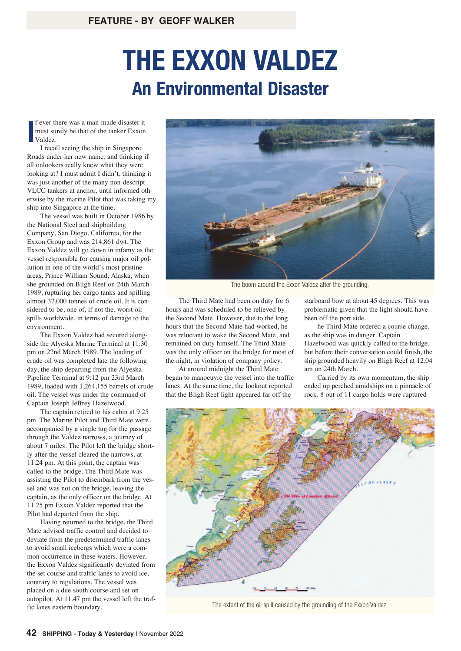## **THE EXXON VALDEZ An Environmental Disaster**

**I** f ever there was a man-made disaster it must surely be that of the tanker Exxon Valdez.

I recall seeing the ship in Singapore Roads under her new name, and thinking if all onlookers really knew what they were looking at? I must admit I didn't, thinking it was just another of the many non-descript VLCC tankers at anchor, until informed otherwise by the marine Pilot that was taking my ship into Singapore at the time.

The vessel was built in October 1986 by the National Steel and shipbuilding Company, San Diego, California, for the Exxon Group and was 214,861 dwt. The Exxon Valdez will go down in infamy as the vessel responsible for causing major oil pollution in one of the world's most pristine areas, Prince William Sound, Alaska, when she grounded on Bligh Reef on 24th March 1989, rupturing her cargo tanks and spilling almost 37,000 tonnes of crude oil. It is considered to be, one of, if not the, worst oil spills worldwide, in terms of damage to the environment.

The Exxon Valdez had secured alongside the Alyeska Marine Terminal at 11:30 pm on 22nd March 1989. The loading of crude oil was completed late the following day, the ship departing from the Alyeska Pipeline Terminal at 9:12 pm 23rd March 1989, loaded with 1,264,155 barrels of crude oil. The vessel was under the command of Captain Joseph Jeffrey Hazelwood.

The captain retired to his cabin at 9.25 pm. The Marine Pilot and Third Mate were accompanied by a single tug for the passage through the Valdez narrows, a journey of about 7 miles. The Pilot left the bridge shortly after the vessel cleared the narrows, at 11.24 pm. At this point, the captain was called to the bridge. The Third Mate was assisting the Pilot to disembark from the vessel and was not on the bridge, leaving the captain, as the only officer on the bridge. At 11.25 pm Exxon Valdez reported that the Pilot had departed from the ship.

Having returned to the bridge, the Third Mate advised traffic control and decided to deviate from the predetermined traffic lanes to avoid small icebergs which were a common occurrence in these waters. However, the Exxon Valdez significantly deviated from the set course and traffic lanes to avoid ice, contrary to regulations. The vessel was placed on a due south course and set on autopilot. At 11.47 pm the vessel left the traffic lanes eastern boundary.



The boom around the Exxon Valdez after the grounding.

The Third Mate had been on duty for 6 hours and was scheduled to be relieved by the Second Mate. However, due to the long hours that the Second Mate had worked, he was reluctant to wake the Second Mate, and remained on duty himself. The Third Mate was the only officer on the bridge for most of the night, in violation of company policy.

At around midnight the Third Mate began to manoeuvre the vessel into the traffic lanes. At the same time, the lookout reported that the Bligh Reef light appeared far off the

starboard bow at about 45 degrees. This was problematic given that the light should have been off the port side.

he Third Mate ordered a course change, as the ship was in danger. Captain Hazelwood was quickly called to the bridge, but before their conversation could finish, the ship grounded heavily on Bligh Reef at 12.04 am on 24th March.

Carried by its own momentum, the ship ended up perched amidships on a pinnacle of rock. 8 out of 11 cargo holds were ruptured



The extent of the oil spill caused by the grounding of the Exxon Valdez.